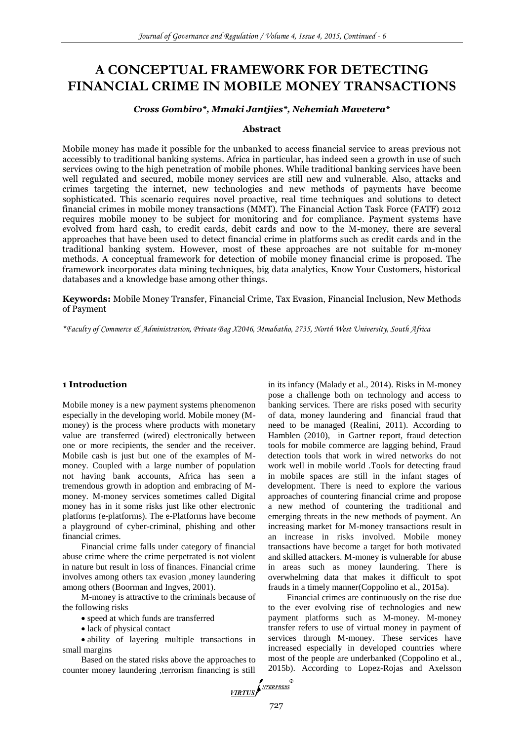# **A CONCEPTUAL FRAMEWORK FOR DETECTING FINANCIAL CRIME IN MOBILE MONEY TRANSACTIONS**

#### *Cross Gombiro\*, Mmaki Jantjies\*, Nehemiah Mavetera\**

#### **Abstract**

Mobile money has made it possible for the unbanked to access financial service to areas previous not accessibly to traditional banking systems. Africa in particular, has indeed seen a growth in use of such services owing to the high penetration of mobile phones. While traditional banking services have been well regulated and secured, mobile money services are still new and vulnerable. Also, attacks and crimes targeting the internet, new technologies and new methods of payments have become sophisticated. This scenario requires novel proactive, real time techniques and solutions to detect financial crimes in mobile money transactions (MMT). The Financial Action Task Force (FATF) 2012 requires mobile money to be subject for monitoring and for compliance. Payment systems have evolved from hard cash, to credit cards, debit cards and now to the M-money, there are several approaches that have been used to detect financial crime in platforms such as credit cards and in the traditional banking system. However, most of these approaches are not suitable for m-money methods. A conceptual framework for detection of mobile money financial crime is proposed. The framework incorporates data mining techniques, big data analytics, Know Your Customers, historical databases and a knowledge base among other things.

**Keywords:** Mobile Money Transfer, Financial Crime, Tax Evasion, Financial Inclusion, New Methods of Payment

*\*Faculty of Commerce & Administration, Private Bag X2046, Mmabatho, 2735, North West University, South Africa*

#### **1 Introduction**

Mobile money is a new payment systems phenomenon especially in the developing world. Mobile money (Mmoney) is the process where products with monetary value are transferred (wired) electronically between one or more recipients, the sender and the receiver. Mobile cash is just but one of the examples of Mmoney. Coupled with a large number of population not having bank accounts, Africa has seen a tremendous growth in adoption and embracing of Mmoney. M-money services sometimes called Digital money has in it some risks just like other electronic platforms (e-platforms). The e-Platforms have become a playground of cyber-criminal, phishing and other financial crimes.

Financial crime falls under category of financial abuse crime where the crime perpetrated is not violent in nature but result in loss of finances. Financial crime involves among others tax evasion ,money laundering among others (Boorman and Ingves, 2001).

M-money is attractive to the criminals because of the following risks

speed at which funds are transferred

• lack of physical contact

 ability of layering multiple transactions in small margins

Based on the stated risks above the approaches to counter money laundering ,terrorism financing is still in its infancy (Malady et al., 2014). Risks in M-money pose a challenge both on technology and access to banking services. There are risks posed with security of data, money laundering and financial fraud that need to be managed (Realini, 2011). According to Hamblen (2010), in Gartner report, fraud detection tools for mobile commerce are lagging behind, Fraud detection tools that work in wired networks do not work well in mobile world .Tools for detecting fraud in mobile spaces are still in the infant stages of development. There is need to explore the various approaches of countering financial crime and propose a new method of countering the traditional and emerging threats in the new methods of payment. An increasing market for M-money transactions result in an increase in risks involved. Mobile money transactions have become a target for both motivated and skilled attackers. M-money is vulnerable for abuse in areas such as money laundering. There is overwhelming data that makes it difficult to spot frauds in a timely manner(Coppolino et al., 2015a).

Financial crimes are continuously on the rise due to the ever evolving rise of technologies and new payment platforms such as M-money. M-money transfer refers to use of virtual money in payment of services through M-money. These services have increased especially in developed countries where most of the people are underbanked (Coppolino et al., 2015b). According to Lopez-Rojas and Axelsson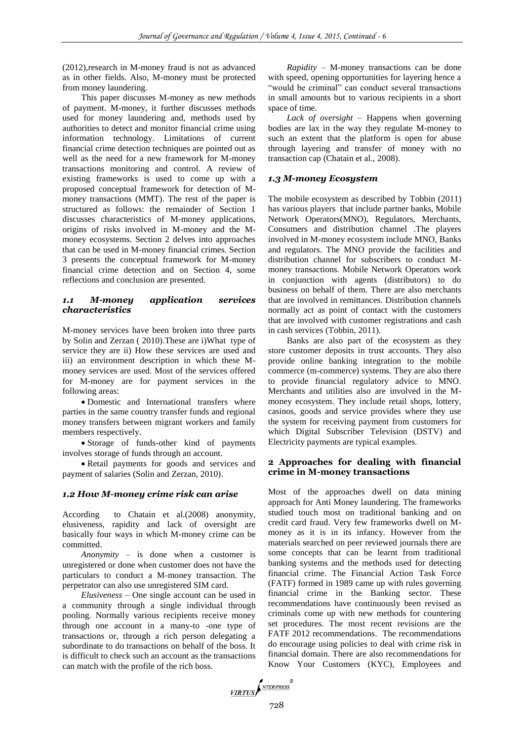(2012),research in M-money fraud is not as advanced as in other fields. Also, M-money must be protected from money laundering.

This paper discusses M-money as new methods of payment. M-money, it further discusses methods used for money laundering and, methods used by authorities to detect and monitor financial crime using information technology. Limitations of current financial crime detection techniques are pointed out as well as the need for a new framework for M-money transactions monitoring and control. A review of existing frameworks is used to come up with a proposed conceptual framework for detection of Mmoney transactions (MMT). The rest of the paper is structured as follows: the remainder of Section 1 discusses characteristics of M-money applications, origins of risks involved in M-money and the Mmoney ecosystems. Section 2 delves into approaches that can be used in M-money financial crimes. Section 3 presents the conceptual framework for M-money financial crime detection and on Section 4, some reflections and conclusion are presented.

#### *1.1 M-money application services characteristics*

M-money services have been broken into three parts by Solin and Zerzan ( 2010).These are i)What type of service they are ii) How these services are used and iii) an environment description in which these Mmoney services are used. Most of the services offered for M-money are for payment services in the following areas:

 Domestic and International transfers where parties in the same country transfer funds and regional money transfers between migrant workers and family members respectively.

 Storage of funds-other kind of payments involves storage of funds through an account.

 Retail payments for goods and services and payment of salaries (Solin and Zerzan, 2010).

## *1.2 How M-money crime risk can arise*

According to Chatain et al.(2008) anonymity, elusiveness, rapidity and lack of oversight are basically four ways in which M-money crime can be committed.

*Anonymity* – is done when a customer is unregistered or done when customer does not have the particulars to conduct a M-money transaction. The perpetrator can also use unregistered SIM card.

*Elusiveness* – One single account can be used in a community through a single individual through pooling. Normally various recipients receive money through one account in a many-to -one type of transactions or, through a rich person delegating a subordinate to do transactions on behalf of the boss. It is difficult to check such an account as the transactions can match with the profile of the rich boss.

*Rapidity* – M-money transactions can be done with speed, opening opportunities for layering hence a "would be criminal" can conduct several transactions in small amounts but to various recipients in a short space of time.

*Lack of oversight* – Happens when governing bodies are lax in the way they regulate M-money to such an extent that the platform is open for abuse through layering and transfer of money with no transaction cap (Chatain et al., 2008).

## *1.3 M-money Ecosystem*

The mobile ecosystem as described by Tobbin (2011) has various players that include partner banks, Mobile Network Operators(MNO), Regulators, Merchants, Consumers and distribution channel .The players involved in M-money ecosystem include MNO, Banks and regulators. The MNO provide the facilities and distribution channel for subscribers to conduct Mmoney transactions. Mobile Network Operators work in conjunction with agents (distributors) to do business on behalf of them. There are also merchants that are involved in remittances. Distribution channels normally act as point of contact with the customers that are involved with customer registrations and cash in cash services (Tobbin, 2011).

Banks are also part of the ecosystem as they store customer deposits in trust accounts. They also provide online banking integration to the mobile commerce (m-commerce) systems. They are also there to provide financial regulatory advice to MNO. Merchants and utilities also are involved in the Mmoney ecosystem. They include retail shops, lottery, casinos, goods and service provides where they use the system for receiving payment from customers for which Digital Subscriber Television (DSTV) and Electricity payments are typical examples.

## **2 Approaches for dealing with financial crime in M-money transactions**

Most of the approaches dwell on data mining approach for Anti Money laundering. The frameworks studied touch most on traditional banking and on credit card fraud. Very few frameworks dwell on Mmoney as it is in its infancy. However from the materials searched on peer reviewed journals there are some concepts that can be learnt from traditional banking systems and the methods used for detecting financial crime. The Financial Action Task Force (FATF) formed in 1989 came up with rules governing financial crime in the Banking sector. These recommendations have continuously been revised as criminals come up with new methods for countering set procedures. The most recent revisions are the FATF 2012 recommendations. The recommendations do encourage using policies to deal with crime risk in financial domain. There are also recommendations for Know Your Customers (KYC), Employees and

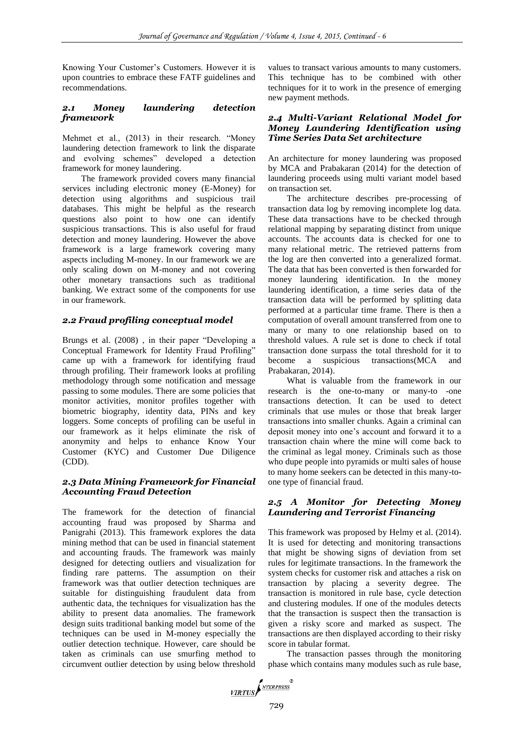Knowing Your Customer's Customers. However it is upon countries to embrace these FATF guidelines and recommendations.

# *2.1 Money laundering detection framework*

Mehmet et al., (2013) in their research. "Money laundering detection framework to link the disparate and evolving schemes" developed a detection framework for money laundering.

The framework provided covers many financial services including electronic money (E-Money) for detection using algorithms and suspicious trail databases. This might be helpful as the research questions also point to how one can identify suspicious transactions. This is also useful for fraud detection and money laundering. However the above framework is a large framework covering many aspects including M-money. In our framework we are only scaling down on M-money and not covering other monetary transactions such as traditional banking. We extract some of the components for use in our framework.

# *2.2 Fraud profiling conceptual model*

Brungs et al. (2008) , in their paper "Developing a Conceptual Framework for Identity Fraud Profiling" came up with a framework for identifying fraud through profiling. Their framework looks at profiling methodology through some notification and message passing to some modules. There are some policies that monitor activities, monitor profiles together with biometric biography, identity data, PINs and key loggers. Some concepts of profiling can be useful in our framework as it helps eliminate the risk of anonymity and helps to enhance Know Your Customer (KYC) and Customer Due Diligence (CDD).

## *2.3 Data Mining Framework for Financial Accounting Fraud Detection*

The framework for the detection of financial accounting fraud was proposed by Sharma and Panigrahi (2013). This framework explores the data mining method that can be used in financial statement and accounting frauds. The framework was mainly designed for detecting outliers and visualization for finding rare patterns. The assumption on their framework was that outlier detection techniques are suitable for distinguishing fraudulent data from authentic data, the techniques for visualization has the ability to present data anomalies. The framework design suits traditional banking model but some of the techniques can be used in M-money especially the outlier detection technique. However, care should be taken as criminals can use smurfing method to circumvent outlier detection by using below threshold

values to transact various amounts to many customers. This technique has to be combined with other techniques for it to work in the presence of emerging new payment methods.

## *2.4 Multi-Variant Relational Model for Money Laundering Identification using Time Series Data Set architecture*

An architecture for money laundering was proposed by MCA and Prabakaran (2014) for the detection of laundering proceeds using multi variant model based on transaction set.

The architecture describes pre-processing of transaction data log by removing incomplete log data. These data transactions have to be checked through relational mapping by separating distinct from unique accounts. The accounts data is checked for one to many relational metric. The retrieved patterns from the log are then converted into a generalized format. The data that has been converted is then forwarded for money laundering identification. In the money laundering identification, a time series data of the transaction data will be performed by splitting data performed at a particular time frame. There is then a computation of overall amount transferred from one to many or many to one relationship based on to threshold values. A rule set is done to check if total transaction done surpass the total threshold for it to become a suspicious transactions(MCA and Prabakaran, 2014).

What is valuable from the framework in our research is the one-to-many or many-to -one transactions detection. It can be used to detect criminals that use mules or those that break larger transactions into smaller chunks. Again a criminal can deposit money into one's account and forward it to a transaction chain where the mine will come back to the criminal as legal money. Criminals such as those who dupe people into pyramids or multi sales of house to many home seekers can be detected in this many-toone type of financial fraud.

## *2.5 A Monitor for Detecting Money Laundering and Terrorist Financing*

This framework was proposed by Helmy et al. (2014). It is used for detecting and monitoring transactions that might be showing signs of deviation from set rules for legitimate transactions. In the framework the system checks for customer risk and attaches a risk on transaction by placing a severity degree. The transaction is monitored in rule base, cycle detection and clustering modules. If one of the modules detects that the transaction is suspect then the transaction is given a risky score and marked as suspect. The transactions are then displayed according to their risky score in tabular format.

The transaction passes through the monitoring phase which contains many modules such as rule base,

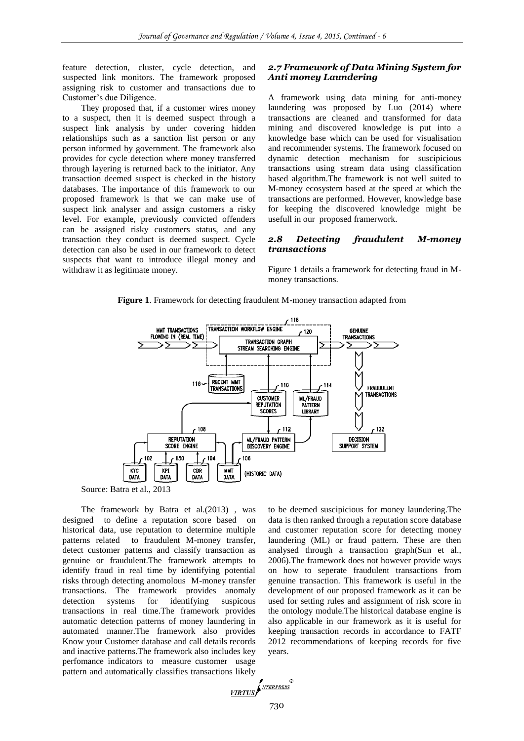feature detection, cluster, cycle detection, and suspected link monitors. The framework proposed assigning risk to customer and transactions due to Customer's due Diligence.

They proposed that, if a customer wires money to a suspect, then it is deemed suspect through a suspect link analysis by under covering hidden relationships such as a sanction list person or any person informed by government. The framework also provides for cycle detection where money transferred through layering is returned back to the initiator. Any transaction deemed suspect is checked in the history databases. The importance of this framework to our proposed framework is that we can make use of suspect link analyser and assign customers a risky level. For example, previously convicted offenders can be assigned risky customers status, and any transaction they conduct is deemed suspect. Cycle detection can also be used in our framework to detect suspects that want to introduce illegal money and withdraw it as legitimate money.

## *2.7 Framework of Data Mining System for Anti money Laundering*

A framework using data mining for anti-money laundering was proposed by Luo (2014) where transactions are cleaned and transformed for data mining and discovered knowledge is put into a knowledge base which can be used for visualisation and recommender systems. The framework focused on dynamic detection mechanism for suscipicious transactions using stream data using classification based algorithm.The framework is not well suited to M-money ecosystem based at the speed at which the transactions are performed. However, knowledge base for keeping the discovered knowledge might be usefull in our proposed framerwork.

#### *2.8 Detecting fraudulent M-money transactions*

Figure 1 details a framework for detecting fraud in Mmoney transactions.





Source: Batra et al., 2013

The framework by Batra et al.(2013) , was designed to define a reputation score based on historical data, use reputation to determine multiple patterns related to fraudulent M-money transfer, detect customer patterns and classify transaction as genuine or fraudulent.The framework attempts to identify fraud in real time by identifying potential risks through detecting anomolous M-money transfer transactions. The framework provides anomaly detection systems for identifying suspicous transactions in real time.The framework provides automatic detection patterns of money laundering in automated manner.The framework also provides Know your Customer database and call details records and inactive patterns.The framework also includes key perfomance indicators to measure customer usage pattern and automatically classifies transactions likely to be deemed suscipicious for money laundering.The data is then ranked through a reputation score database and customer reputation score for detecting money laundering (ML) or fraud pattern. These are then analysed through a transaction graph(Sun et al., 2006).The framework does not however provide ways on how to seperate fraudulent transactions from genuine transaction. This framework is useful in the development of our proposed framework as it can be used for setting rules and assignment of risk score in the ontology module.The historical database engine is also applicable in our framework as it is useful for keeping transaction records in accordance to FATF 2012 recommendations of keeping records for five years.

$$
\underbrace{\textit{virtus}} \left( \textit{hiferses}^{\text{R}} \right)
$$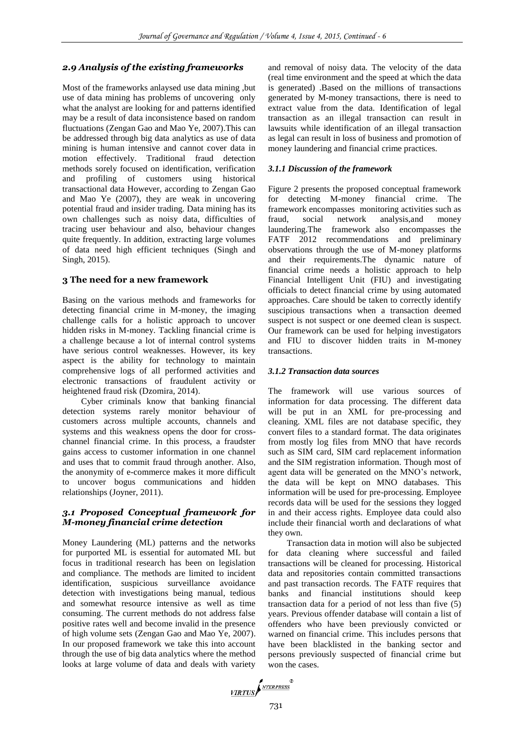## *2.9 Analysis of the existing frameworks*

Most of the frameworks anlaysed use data mining ,but use of data mining has problems of uncovering only what the analyst are looking for and patterns identified may be a result of data inconsistence based on random fluctuations (Zengan Gao and Mao Ye, 2007).This can be addressed through big data analytics as use of data mining is human intensive and cannot cover data in motion effectively. Traditional fraud detection methods sorely focused on identification, verification and profiling of customers using historical transactional data However, according to Zengan Gao and Mao Ye (2007), they are weak in uncovering potential fraud and insider trading. Data mining has its own challenges such as noisy data, difficulties of tracing user behaviour and also, behaviour changes quite frequently. In addition, extracting large volumes of data need high efficient techniques (Singh and Singh, 2015).

#### **3 The need for a new framework**

Basing on the various methods and frameworks for detecting financial crime in M-money, the imaging challenge calls for a holistic approach to uncover hidden risks in M-money. Tackling financial crime is a challenge because a lot of internal control systems have serious control weaknesses. However, its key aspect is the ability for technology to maintain comprehensive logs of all performed activities and electronic transactions of fraudulent activity or heightened fraud risk (Dzomira, 2014).

Cyber criminals know that banking financial detection systems rarely monitor behaviour of customers across multiple accounts, channels and systems and this weakness opens the door for crosschannel financial crime. In this process, a fraudster gains access to customer information in one channel and uses that to commit fraud through another. Also, the anonymity of e-commerce makes it more difficult to uncover bogus communications and hidden relationships (Joyner, 2011).

## *3.1 Proposed Conceptual framework for M-money financial crime detection*

Money Laundering (ML) patterns and the networks for purported ML is essential for automated ML but focus in traditional research has been on legislation and compliance. The methods are limited to incident identification, suspicious surveillance avoidance detection with investigations being manual, tedious and somewhat resource intensive as well as time consuming. The current methods do not address false positive rates well and become invalid in the presence of high volume sets (Zengan Gao and Mao Ye, 2007). In our proposed framework we take this into account through the use of big data analytics where the method looks at large volume of data and deals with variety

and removal of noisy data. The velocity of the data (real time environment and the speed at which the data is generated) .Based on the millions of transactions generated by M-money transactions, there is need to extract value from the data. Identification of legal transaction as an illegal transaction can result in lawsuits while identification of an illegal transaction as legal can result in loss of business and promotion of money laundering and financial crime practices.

#### *3.1.1 Discussion of the framework*

Figure 2 presents the proposed conceptual framework for detecting M-money financial crime. The framework encompasses monitoring activities such as fraud, social network analysis,and money laundering.The framework also encompasses the FATF 2012 recommendations and preliminary observations through the use of M-money platforms and their requirements.The dynamic nature of financial crime needs a holistic approach to help Financial Intelligent Unit (FIU) and investigating officials to detect financial crime by using automated approaches. Care should be taken to correctly identify suscipious transactions when a transaction deemed suspect is not suspect or one deemed clean is suspect. Our framework can be used for helping investigators and FIU to discover hidden traits in M-money transactions.

#### *3.1.2 Transaction data sources*

The framework will use various sources of information for data processing. The different data will be put in an XML for pre-processing and cleaning. XML files are not database specific, they convert files to a standard format. The data originates from mostly log files from MNO that have records such as SIM card, SIM card replacement information and the SIM registration information. Though most of agent data will be generated on the MNO's network, the data will be kept on MNO databases. This information will be used for pre-processing. Employee records data will be used for the sessions they logged in and their access rights. Employee data could also include their financial worth and declarations of what they own.

Transaction data in motion will also be subjected for data cleaning where successful and failed transactions will be cleaned for processing. Historical data and repositories contain committed transactions and past transaction records. The FATF requires that banks and financial institutions should keep transaction data for a period of not less than five (5) years. Previous offender database will contain a list of offenders who have been previously convicted or warned on financial crime. This includes persons that have been blacklisted in the banking sector and persons previously suspected of financial crime but won the cases.

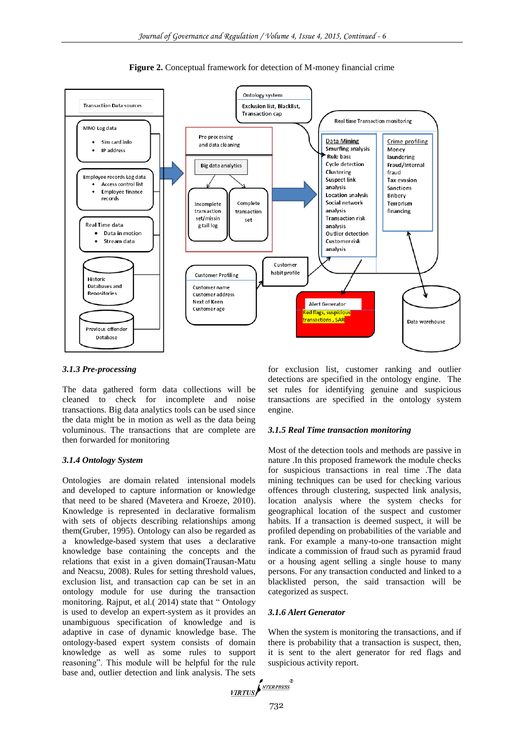

**Figure 2.** Conceptual framework for detection of M-money financial crime

#### *3.1.3 Pre-processing*

The data gathered form data collections will be cleaned to check for incomplete and noise transactions. Big data analytics tools can be used since the data might be in motion as well as the data being voluminous. The transactions that are complete are then forwarded for monitoring

#### *3.1.4 Ontology System*

Ontologies are domain related intensional models and developed to capture information or knowledge that need to be shared (Mavetera and Kroeze, 2010). Knowledge is represented in declarative formalism with sets of objects describing relationships among them(Gruber, 1995). Ontology can also be regarded as a knowledge-based system that uses a declarative knowledge base containing the concepts and the relations that exist in a given domain(Trausan-Matu and Neacsu, 2008). Rules for setting threshold values, exclusion list, and transaction cap can be set in an ontology module for use during the transaction monitoring. Rajput, et al.( 2014) state that " Ontology is used to develop an expert-system as it provides an unambiguous specification of knowledge and is adaptive in case of dynamic knowledge base. The ontology-based expert system consists of domain knowledge as well as some rules to support reasoning". This module will be helpful for the rule base and, outlier detection and link analysis. The sets for exclusion list, customer ranking and outlier detections are specified in the ontology engine. The set rules for identifying genuine and suspicious transactions are specified in the ontology system engine.

#### *3.1.5 Real Time transaction monitoring*

Most of the detection tools and methods are passive in nature .In this proposed framework the module checks for suspicious transactions in real time .The data mining techniques can be used for checking various offences through clustering, suspected link analysis, location analysis where the system checks for geographical location of the suspect and customer habits. If a transaction is deemed suspect, it will be profiled depending on probabilities of the variable and rank. For example a many-to-one transaction might indicate a commission of fraud such as pyramid fraud or a housing agent selling a single house to many persons. For any transaction conducted and linked to a blacklisted person, the said transaction will be categorized as suspect.

#### *3.1.6 Alert Generator*

When the system is monitoring the transactions, and if there is probability that a transaction is suspect, then, it is sent to the alert generator for red flags and suspicious activity report.

$$
VIRTUS \left( \frac{NTERPRESS}{NTERPRESS} \right)
$$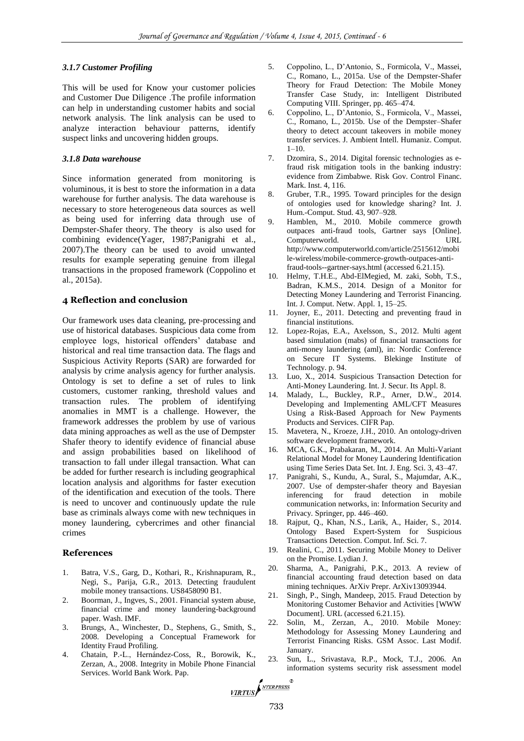#### *3.1.7 Customer Profiling*

This will be used for Know your customer policies and Customer Due Diligence .The profile information can help in understanding customer habits and social network analysis. The link analysis can be used to analyze interaction behaviour patterns, identify suspect links and uncovering hidden groups.

#### *3.1.8 Data warehouse*

Since information generated from monitoring is voluminous, it is best to store the information in a data warehouse for further analysis. The data warehouse is necessary to store heterogeneous data sources as well as being used for inferring data through use of Dempster-Shafer theory. The theory is also used for combining evidence(Yager, 1987;Panigrahi et al., 2007).The theory can be used to avoid unwanted results for example seperating genuine from illegal transactions in the proposed framework (Coppolino et al., 2015a).

## **4 Reflection and conclusion**

Our framework uses data cleaning, pre-processing and use of historical databases. Suspicious data come from employee logs, historical offenders' database and historical and real time transaction data. The flags and Suspicious Activity Reports (SAR) are forwarded for analysis by crime analysis agency for further analysis. Ontology is set to define a set of rules to link customers, customer ranking, threshold values and transaction rules. The problem of identifying anomalies in MMT is a challenge. However, the framework addresses the problem by use of various data mining approaches as well as the use of Dempster Shafer theory to identify evidence of financial abuse and assign probabilities based on likelihood of transaction to fall under illegal transaction. What can be added for further research is including geographical location analysis and algorithms for faster execution of the identification and execution of the tools. There is need to uncover and continuously update the rule base as criminals always come with new techniques in money laundering, cybercrimes and other financial crimes

## **References**

- 1. Batra, V.S., Garg, D., Kothari, R., Krishnapuram, R., Negi, S., Parija, G.R., 2013. Detecting fraudulent mobile money transactions. US8458090 B1.
- 2. Boorman, J., Ingves, S., 2001. Financial system abuse, financial crime and money laundering-background paper. Wash. IMF.
- 3. Brungs, A., Winchester, D., Stephens, G., Smith, S., 2008. Developing a Conceptual Framework for Identity Fraud Profiling.
- 4. Chatain, P.-L., Hernández-Coss, R., Borowik, K., Zerzan, A., 2008. Integrity in Mobile Phone Financial Services. World Bank Work. Pap.
- 5. Coppolino, L., D'Antonio, S., Formicola, V., Massei, C., Romano, L., 2015a. Use of the Dempster-Shafer Theory for Fraud Detection: The Mobile Money Transfer Case Study, in: Intelligent Distributed Computing VIII. Springer, pp. 465–474.
- 6. Coppolino, L., D'Antonio, S., Formicola, V., Massei, C., Romano, L., 2015b. Use of the Dempster–Shafer theory to detect account takeovers in mobile money transfer services. J. Ambient Intell. Humaniz. Comput.  $1 - 10$ .
- 7. Dzomira, S., 2014. Digital forensic technologies as efraud risk mitigation tools in the banking industry: evidence from Zimbabwe. Risk Gov. Control Financ. Mark. Inst. 4, 116.
- 8. Gruber, T.R., 1995. Toward principles for the design of ontologies used for knowledge sharing? Int. J. Hum.-Comput. Stud. 43, 907–928.
- 9. Hamblen, M., 2010. Mobile commerce growth outpaces anti-fraud tools, Gartner says [Online]. Computerworld. URL http://www.computerworld.com/article/2515612/mobi le-wireless/mobile-commerce-growth-outpaces-antifraud-tools--gartner-says.html (accessed 6.21.15).
- 10. Helmy, T.H.E., Abd-ElMegied, M. zaki, Sobh, T.S., Badran, K.M.S., 2014. Design of a Monitor for Detecting Money Laundering and Terrorist Financing. Int. J. Comput. Netw. Appl. 1, 15–25.
- 11. Joyner, E., 2011. Detecting and preventing fraud in financial institutions.
- 12. Lopez-Rojas, E.A., Axelsson, S., 2012. Multi agent based simulation (mabs) of financial transactions for anti-money laundering (aml), in: Nordic Conference on Secure IT Systems. Blekinge Institute of Technology. p. 94.
- 13. Luo, X., 2014. Suspicious Transaction Detection for Anti-Money Laundering. Int. J. Secur. Its Appl. 8.
- 14. Malady, L., Buckley, R.P., Arner, D.W., 2014. Developing and Implementing AML/CFT Measures Using a Risk-Based Approach for New Payments Products and Services. CIFR Pap.
- 15. Mavetera, N., Kroeze, J.H., 2010. An ontology-driven software development framework.
- 16. MCA, G.K., Prabakaran, M., 2014. An Multi-Variant Relational Model for Money Laundering Identification using Time Series Data Set. Int. J. Eng. Sci. 3, 43–47.
- 17. Panigrahi, S., Kundu, A., Sural, S., Majumdar, A.K., 2007. Use of dempster-shafer theory and Bayesian inferencing for fraud detection in mobile communication networks, in: Information Security and Privacy. Springer, pp. 446–460.
- 18. Rajput, Q., Khan, N.S., Larik, A., Haider, S., 2014. Ontology Based Expert-System for Suspicious Transactions Detection. Comput. Inf. Sci. 7.
- 19. Realini, C., 2011. Securing Mobile Money to Deliver on the Promise. Lydian J.
- 20. Sharma, A., Panigrahi, P.K., 2013. A review of financial accounting fraud detection based on data mining techniques. ArXiv Prepr. ArXiv13093944.
- 21. Singh, P., Singh, Mandeep, 2015. Fraud Detection by Monitoring Customer Behavior and Activities [WWW Document]. URL (accessed 6.21.15).
- 22. Solin, M., Zerzan, A., 2010. Mobile Money: Methodology for Assessing Money Laundering and Terrorist Financing Risks. GSM Assoc. Last Modif. January.
- 23. Sun, L., Srivastava, R.P., Mock, T.J., 2006. An information systems security risk assessment model